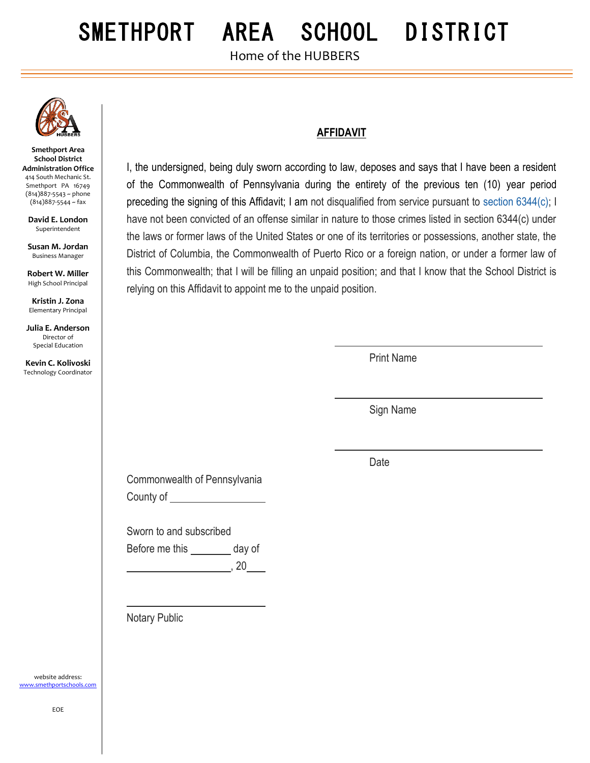# SMETHPORT AREA SCHOOL DISTRICT

Home of the HUBBERS



**Smethport Area School District Administration Office** 414 South Mechanic St. Smethport PA 16749 (814)887-5543 ~ phone (814)887-5544 ~ fax

**David E. London** Superintendent

**Susan M. Jordan** Business Manager

**Robert W. Miller** High School Principal

**Kristin J. Zona** Elementary Principal

**Julia E. Anderson** Director of Special Education

**Kevin C. Kolivoski** Technology Coordinator I, the undersigned, being duly sworn according to law, deposes and says that I have been a resident of the Commonwealth of Pennsylvania during the entirety of the previous ten (10) year period preceding the signing of this Affidavit; I am not disqualified from service pursuant to [section 6344\(c\);](https://1.next.westlaw.com/Link/Document/FullText?findType=L&pubNum=1000262&cite=PA23S6344&originatingDoc=N24949CF1E53A11E3B581C374D0A677D2&refType=SP&originationContext=document&transitionType=DocumentItem&contextData=(sc.UserEnteredCitation)#co_pp_4b24000003ba5) I have not been convicted of an offense similar in nature to those crimes listed in section 6344(c) under the laws or former laws of the United States or one of its territories or possessions, another state, the District of Columbia, the Commonwealth of Puerto Rico or a foreign nation, or under a former law of this Commonwealth; that I will be filling an unpaid position; and that I know that the School District is relying on this Affidavit to appoint me to the unpaid position.

**AFFIDAVIT**

Print Name

Sign Name

Date

Commonwealth of Pennsylvania County of

Sworn to and subscribed Before me this \_\_\_\_\_\_\_\_ day of , 20

Notary Public

website address: [www.smethportschools.com](http://www.smethportschools.com/)